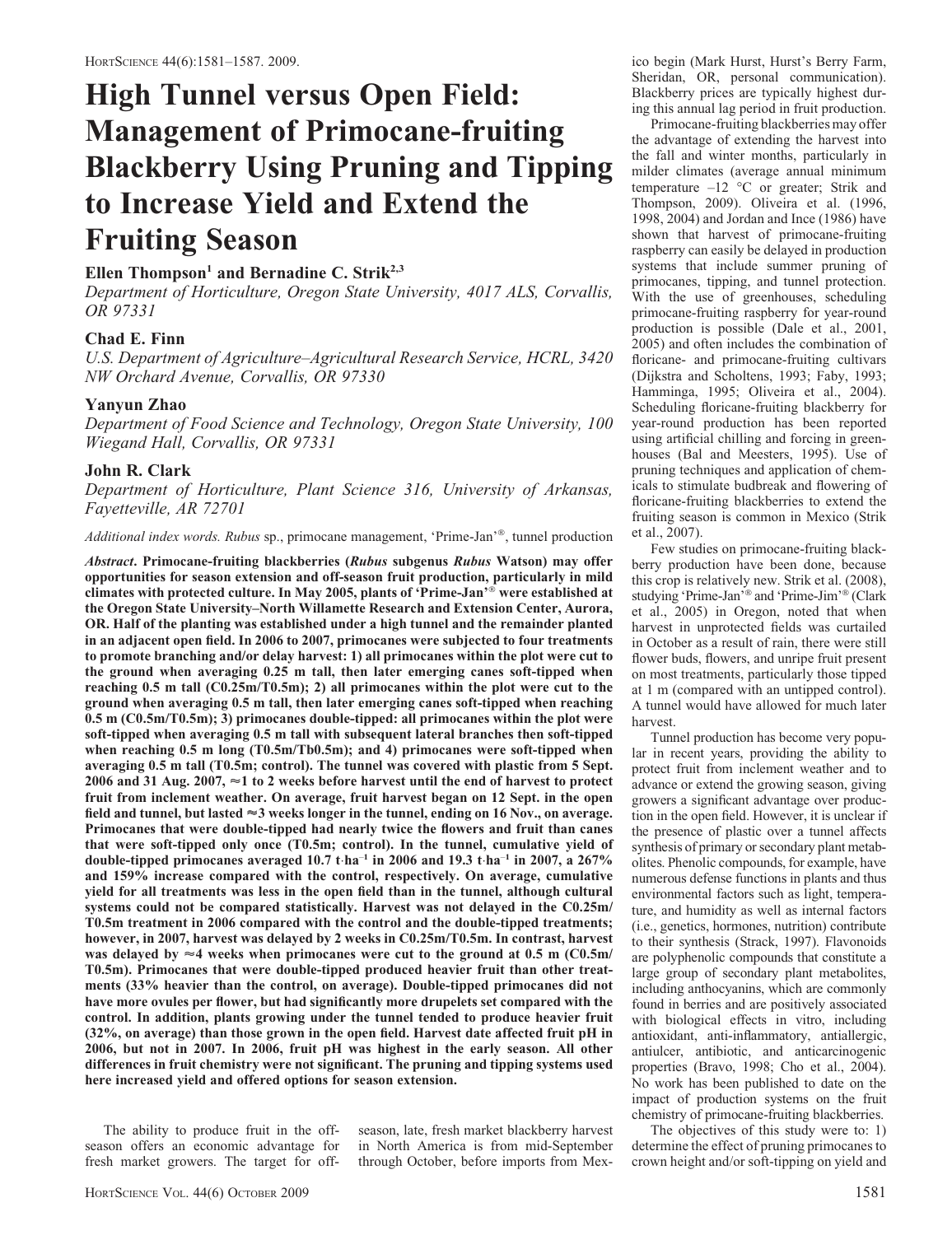# High Tunnel versus Open Field: Management of Primocane-fruiting Blackberry Using Pruning and Tipping to Increase Yield and Extend the Fruiting Season

## Ellen Thompson<sup>1</sup> and Bernadine C. Strik<sup>2,3</sup>

Department of Horticulture, Oregon State University, 4017 ALS, Corvallis, OR 97331

## Chad E. Finn

U.S. Department of Agriculture–Agricultural Research Service, HCRL, 3420 NW Orchard Avenue, Corvallis, OR 97330

## Yanyun Zhao

Department of Food Science and Technology, Oregon State University, 100 Wiegand Hall, Corvallis, OR 97331

## John R. Clark

Department of Horticulture, Plant Science 316, University of Arkansas, Fayetteville, AR 72701

Additional index words. Rubus sp., primocane management, 'Prime-Jan'®, tunnel production

Abstract. Primocane-fruiting blackberries (Rubus subgenus Rubus Watson) may offer opportunities for season extension and off-season fruit production, particularly in mild climates with protected culture. In May 2005, plants of 'Prime-Jan'® were established at the Oregon State University–North Willamette Research and Extension Center, Aurora, OR. Half of the planting was established under a high tunnel and the remainder planted in an adjacent open field. In 2006 to 2007, primocanes were subjected to four treatments to promote branching and/or delay harvest: 1) all primocanes within the plot were cut to the ground when averaging 0.25 m tall, then later emerging canes soft-tipped when reaching  $0.5$  m tall  $(C0.25m/T0.5m)$ ; 2) all primocanes within the plot were cut to the ground when averaging 0.5 m tall, then later emerging canes soft-tipped when reaching 0.5 m (C0.5m/T0.5m); 3) primocanes double-tipped: all primocanes within the plot were soft-tipped when averaging 0.5 m tall with subsequent lateral branches then soft-tipped when reaching 0.5 m long (T0.5m/Tb0.5m); and 4) primocanes were soft-tipped when averaging 0.5 m tall (T0.5m; control). The tunnel was covered with plastic from 5 Sept. 2006 and 31 Aug. 2007,  $\approx$  1 to 2 weeks before harvest until the end of harvest to protect fruit from inclement weather. On average, fruit harvest began on 12 Sept. in the open field and tunnel, but lasted  $\approx$ 3 weeks longer in the tunnel, ending on 16 Nov., on average. Primocanes that were double-tipped had nearly twice the flowers and fruit than canes that were soft-tipped only once (T0.5m; control). In the tunnel, cumulative yield of double-tipped primocanes averaged 10.7 t $\cdot$ ha<sup>-1</sup> in 2006 and 19.3 t $\cdot$ ha<sup>-1</sup> in 2007, a 267% and 159% increase compared with the control, respectively. On average, cumulative yield for all treatments was less in the open field than in the tunnel, although cultural systems could not be compared statistically. Harvest was not delayed in the C0.25m/ T0.5m treatment in 2006 compared with the control and the double-tipped treatments; however, in 2007, harvest was delayed by 2 weeks in C0.25m/T0.5m. In contrast, harvest was delayed by  $\approx$ 4 weeks when primocanes were cut to the ground at 0.5 m (C0.5m/ T0.5m). Primocanes that were double-tipped produced heavier fruit than other treatments (33% heavier than the control, on average). Double-tipped primocanes did not have more ovules per flower, but had significantly more drupelets set compared with the control. In addition, plants growing under the tunnel tended to produce heavier fruit (32%, on average) than those grown in the open field. Harvest date affected fruit pH in 2006, but not in 2007. In 2006, fruit pH was highest in the early season. All other differences in fruit chemistry were not significant. The pruning and tipping systems used here increased yield and offered options for season extension.

The ability to produce fruit in the offseason offers an economic advantage for fresh market growers. The target for off-

season, late, fresh market blackberry harvest in North America is from mid-September through October, before imports from Mexico begin (Mark Hurst, Hurst's Berry Farm, Sheridan, OR, personal communication). Blackberry prices are typically highest during this annual lag period in fruit production.

Primocane-fruiting blackberries may offer the advantage of extending the harvest into the fall and winter months, particularly in milder climates (average annual minimum temperature  $-12$  °C or greater; Strik and Thompson, 2009). Oliveira et al. (1996, 1998, 2004) and Jordan and Ince (1986) have shown that harvest of primocane-fruiting raspberry can easily be delayed in production systems that include summer pruning of primocanes, tipping, and tunnel protection. With the use of greenhouses, scheduling primocane-fruiting raspberry for year-round production is possible (Dale et al., 2001, 2005) and often includes the combination of floricane- and primocane-fruiting cultivars (Dijkstra and Scholtens, 1993; Faby, 1993; Hamminga, 1995; Oliveira et al., 2004). Scheduling floricane-fruiting blackberry for year-round production has been reported using artificial chilling and forcing in greenhouses (Bal and Meesters, 1995). Use of pruning techniques and application of chemicals to stimulate budbreak and flowering of floricane-fruiting blackberries to extend the fruiting season is common in Mexico (Strik et al., 2007).

Few studies on primocane-fruiting blackberry production have been done, because this crop is relatively new. Strik et al. (2008), studying 'Prime-Jan'<sup>®</sup> and 'Prime-Jim'<sup>®</sup> (Clark et al., 2005) in Oregon, noted that when harvest in unprotected fields was curtailed in October as a result of rain, there were still flower buds, flowers, and unripe fruit present on most treatments, particularly those tipped at 1 m (compared with an untipped control). A tunnel would have allowed for much later harvest.

Tunnel production has become very popular in recent years, providing the ability to protect fruit from inclement weather and to advance or extend the growing season, giving growers a significant advantage over production in the open field. However, it is unclear if the presence of plastic over a tunnel affects synthesis of primary or secondary plant metabolites. Phenolic compounds, for example, have numerous defense functions in plants and thus environmental factors such as light, temperature, and humidity as well as internal factors (i.e., genetics, hormones, nutrition) contribute to their synthesis (Strack, 1997). Flavonoids are polyphenolic compounds that constitute a large group of secondary plant metabolites, including anthocyanins, which are commonly found in berries and are positively associated with biological effects in vitro, including antioxidant, anti-inflammatory, antiallergic, antiulcer, antibiotic, and anticarcinogenic properties (Bravo, 1998; Cho et al., 2004). No work has been published to date on the impact of production systems on the fruit chemistry of primocane-fruiting blackberries.

The objectives of this study were to: 1) determine the effect of pruning primocanes to crown height and/or soft-tipping on yield and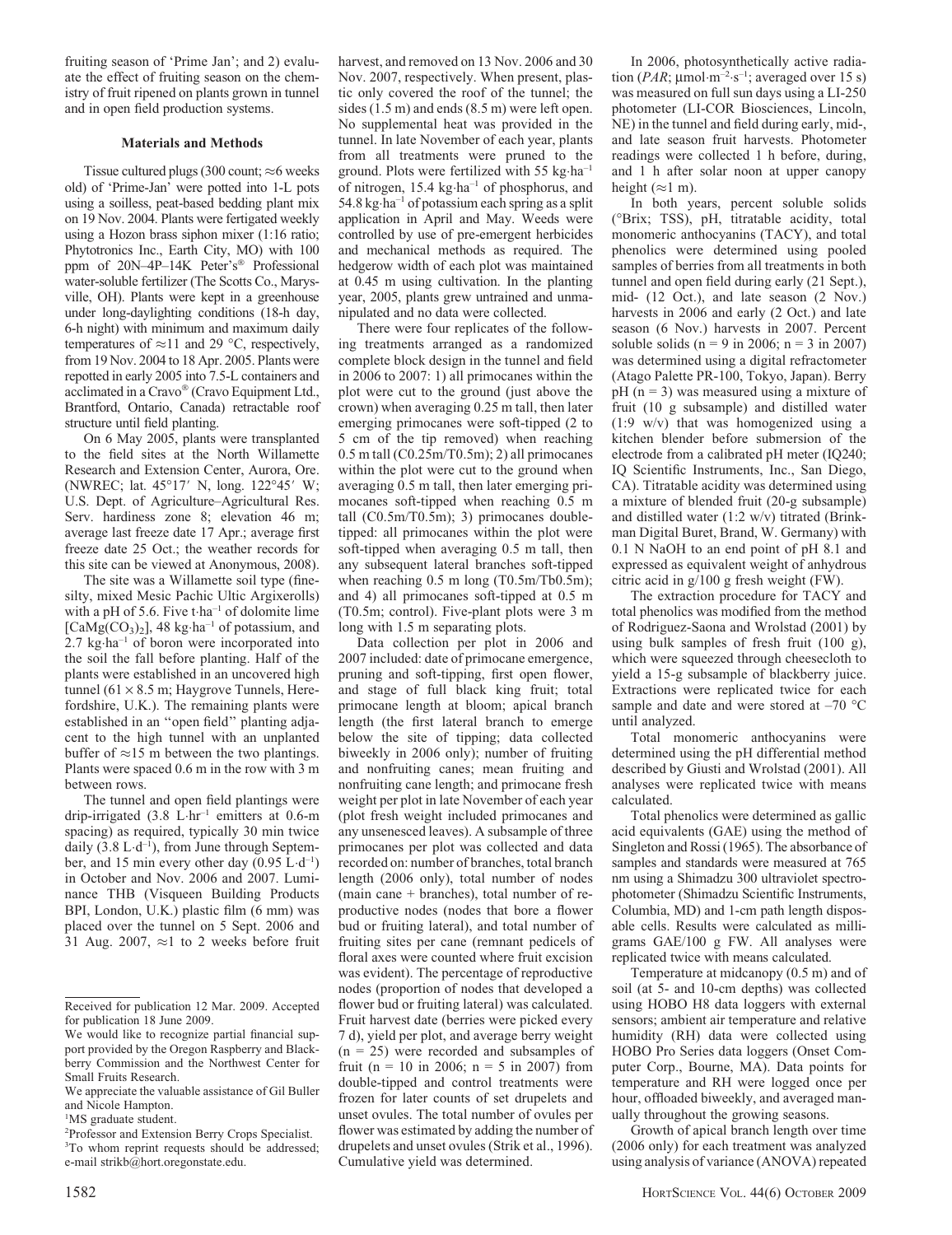fruiting season of 'Prime Jan'; and 2) evaluate the effect of fruiting season on the chemistry of fruit ripened on plants grown in tunnel and in open field production systems.

#### Materials and Methods

Tissue cultured plugs (300 count;  $\approx$  6 weeks old) of 'Prime-Jan' were potted into 1-L pots using a soilless, peat-based bedding plant mix on 19 Nov. 2004. Plants were fertigated weekly using a Hozon brass siphon mixer (1:16 ratio; Phytotronics Inc., Earth City, MO) with 100 ppm of 20N-4P-14K Peter's<sup>®</sup> Professional water-soluble fertilizer (The Scotts Co., Marysville, OH). Plants were kept in a greenhouse under long-daylighting conditions (18-h day, 6-h night) with minimum and maximum daily temperatures of  $\approx$ 11 and 29 °C, respectively, from 19 Nov. 2004 to 18 Apr. 2005. Plants were repotted in early 2005 into 7.5-L containers and acclimated in a Cravo® (Cravo Equipment Ltd., Brantford, Ontario, Canada) retractable roof structure until field planting.

On 6 May 2005, plants were transplanted to the field sites at the North Willamette Research and Extension Center, Aurora, Ore. (NWREC; lat. 45°17' N, long. 122°45' W; U.S. Dept. of Agriculture–Agricultural Res. Serv. hardiness zone 8; elevation 46 m; average last freeze date 17 Apr.; average first freeze date 25 Oct.; the weather records for this site can be viewed at Anonymous, 2008).

The site was a Willamette soil type (finesilty, mixed Mesic Pachic Ultic Argixerolls) with a pH of 5.6. Five  $t$ ·ha<sup>-1</sup> of dolomite lime [ $CaMg(CO<sub>3</sub>)<sub>2</sub>$ ], 48 kg·ha<sup>-1</sup> of potassium, and 2.7 kg·ha<sup>-1</sup> of boron were incorporated into the soil the fall before planting. Half of the plants were established in an uncovered high tunnel (61  $\times$  8.5 m; Haygrove Tunnels, Herefordshire, U.K.). The remaining plants were established in an ''open field'' planting adjacent to the high tunnel with an unplanted buffer of  $\approx$ 15 m between the two plantings. Plants were spaced 0.6 m in the row with 3 m between rows.

The tunnel and open field plantings were drip-irrigated (3.8 L-hr–1 emitters at 0.6-m spacing) as required, typically 30 min twice daily  $(3.8 \text{ L} \cdot \text{d}^{-1})$ , from June through September, and 15 min every other day  $(0.95 \text{ L} \cdot \text{d}^{-1})$ in October and Nov. 2006 and 2007. Luminance THB (Visqueen Building Products BPI, London, U.K.) plastic film (6 mm) was placed over the tunnel on 5 Sept. 2006 and 31 Aug. 2007,  $\approx$ 1 to 2 weeks before fruit harvest, and removed on 13 Nov. 2006 and 30 Nov. 2007, respectively. When present, plastic only covered the roof of the tunnel; the sides (1.5 m) and ends (8.5 m) were left open. No supplemental heat was provided in the tunnel. In late November of each year, plants from all treatments were pruned to the ground. Plots were fertilized with 55 kg-ha–1 of nitrogen, 15.4 kg-ha–1 of phosphorus, and 54.8 kg·ha<sup>-1</sup> of potassium each spring as a split application in April and May. Weeds were controlled by use of pre-emergent herbicides and mechanical methods as required. The hedgerow width of each plot was maintained at 0.45 m using cultivation. In the planting year, 2005, plants grew untrained and unmanipulated and no data were collected.

There were four replicates of the following treatments arranged as a randomized complete block design in the tunnel and field in 2006 to 2007: 1) all primocanes within the plot were cut to the ground (just above the crown) when averaging 0.25 m tall, then later emerging primocanes were soft-tipped (2 to 5 cm of the tip removed) when reaching 0.5 m tall (C0.25m/T0.5m); 2) all primocanes within the plot were cut to the ground when averaging 0.5 m tall, then later emerging primocanes soft-tipped when reaching 0.5 m tall (C0.5m/T0.5m); 3) primocanes doubletipped: all primocanes within the plot were soft-tipped when averaging 0.5 m tall, then any subsequent lateral branches soft-tipped when reaching 0.5 m long (T0.5m/Tb0.5m); and 4) all primocanes soft-tipped at 0.5 m (T0.5m; control). Five-plant plots were 3 m long with 1.5 m separating plots.

Data collection per plot in 2006 and 2007 included: date of primocane emergence, pruning and soft-tipping, first open flower, and stage of full black king fruit; total primocane length at bloom; apical branch length (the first lateral branch to emerge below the site of tipping; data collected biweekly in 2006 only); number of fruiting and nonfruiting canes; mean fruiting and nonfruiting cane length; and primocane fresh weight per plot in late November of each year (plot fresh weight included primocanes and any unsenesced leaves). A subsample of three primocanes per plot was collected and data recorded on: number of branches, total branch length (2006 only), total number of nodes (main cane + branches), total number of reproductive nodes (nodes that bore a flower bud or fruiting lateral), and total number of fruiting sites per cane (remnant pedicels of floral axes were counted where fruit excision was evident). The percentage of reproductive nodes (proportion of nodes that developed a flower bud or fruiting lateral) was calculated. Fruit harvest date (berries were picked every 7 d), yield per plot, and average berry weight  $(n = 25)$  were recorded and subsamples of fruit (n = 10 in 2006; n = 5 in 2007) from double-tipped and control treatments were frozen for later counts of set drupelets and unset ovules. The total number of ovules per flower was estimated by adding the number of drupelets and unset ovules (Strik et al., 1996). Cumulative yield was determined.

In 2006, photosynthetically active radiation ( $PAR$ ;  $\mu$ mol·m<sup>-2</sup>·s<sup>-1</sup>; averaged over 15 s) was measured on full sun days using a LI-250 photometer (LI-COR Biosciences, Lincoln, NE) in the tunnel and field during early, mid-, and late season fruit harvests. Photometer readings were collected 1 h before, during, and 1 h after solar noon at upper canopy height ( $\approx$ 1 m).

In both years, percent soluble solids (-Brix; TSS), pH, titratable acidity, total monomeric anthocyanins (TACY), and total phenolics were determined using pooled samples of berries from all treatments in both tunnel and open field during early (21 Sept.), mid- (12 Oct.), and late season (2 Nov.) harvests in 2006 and early (2 Oct.) and late season (6 Nov.) harvests in 2007. Percent soluble solids ( $n = 9$  in 2006;  $n = 3$  in 2007) was determined using a digital refractometer (Atago Palette PR-100, Tokyo, Japan). Berry  $pH (n = 3)$  was measured using a mixture of fruit (10 g subsample) and distilled water (1:9 w/v) that was homogenized using a kitchen blender before submersion of the electrode from a calibrated pH meter (IQ240; IQ Scientific Instruments, Inc., San Diego, CA). Titratable acidity was determined using a mixture of blended fruit (20-g subsample) and distilled water (1:2 w/v) titrated (Brinkman Digital Buret, Brand, W. Germany) with 0.1 N NaOH to an end point of pH 8.1 and expressed as equivalent weight of anhydrous citric acid in g/100 g fresh weight (FW).

The extraction procedure for TACY and total phenolics was modified from the method of Rodriguez-Saona and Wrolstad (2001) by using bulk samples of fresh fruit (100 g), which were squeezed through cheesecloth to yield a 15-g subsample of blackberry juice. Extractions were replicated twice for each sample and date and were stored at  $-70$  °C until analyzed.

Total monomeric anthocyanins were determined using the pH differential method described by Giusti and Wrolstad (2001). All analyses were replicated twice with means calculated.

Total phenolics were determined as gallic acid equivalents (GAE) using the method of Singleton and Rossi (1965). The absorbance of samples and standards were measured at 765 nm using a Shimadzu 300 ultraviolet spectrophotometer (Shimadzu Scientific Instruments, Columbia, MD) and 1-cm path length disposable cells. Results were calculated as milligrams GAE/100 g FW. All analyses were replicated twice with means calculated.

Temperature at midcanopy (0.5 m) and of soil (at 5- and 10-cm depths) was collected using HOBO H8 data loggers with external sensors; ambient air temperature and relative humidity (RH) data were collected using HOBO Pro Series data loggers (Onset Computer Corp., Bourne, MA). Data points for temperature and RH were logged once per hour, offloaded biweekly, and averaged manually throughout the growing seasons.

Growth of apical branch length over time (2006 only) for each treatment was analyzed using analysis of variance (ANOVA) repeated

Received for publication 12 Mar. 2009. Accepted for publication 18 June 2009.

We would like to recognize partial financial support provided by the Oregon Raspberry and Blackberry Commission and the Northwest Center for Small Fruits Research.

We appreciate the valuable assistance of Gil Buller and Nicole Hampton.

<sup>&</sup>lt;sup>1</sup>MS graduate student.

<sup>2</sup> Professor and Extension Berry Crops Specialist. <sup>3</sup>To whom reprint requests should be addressed; e-mail strikb@hort.oregonstate.edu.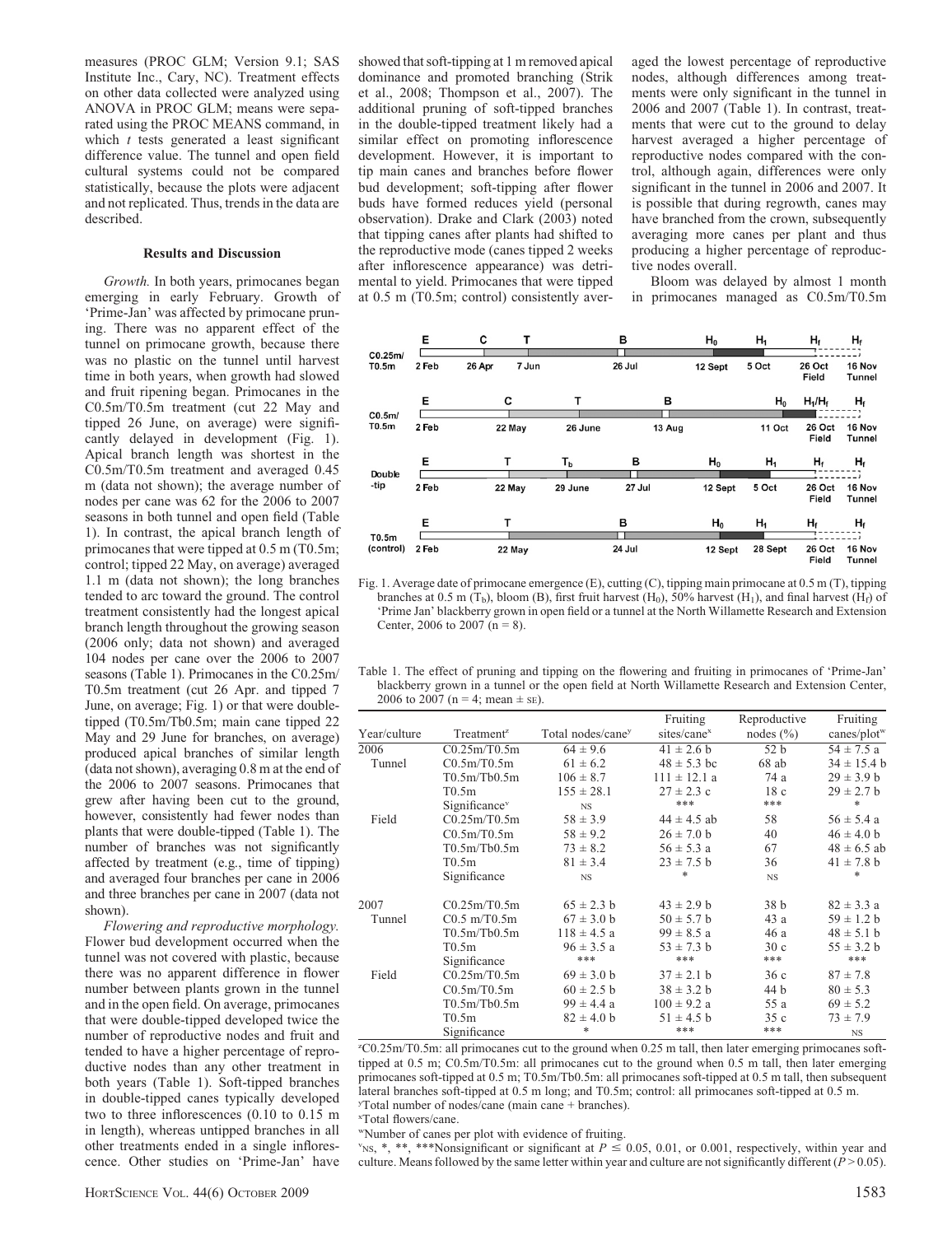measures (PROC GLM; Version 9.1; SAS Institute Inc., Cary, NC). Treatment effects on other data collected were analyzed using ANOVA in PROC GLM; means were separated using the PROC MEANS command, in which  $t$  tests generated a least significant difference value. The tunnel and open field cultural systems could not be compared statistically, because the plots were adjacent and not replicated. Thus, trends in the data are described.

#### Results and Discussion

Growth. In both years, primocanes began emerging in early February. Growth of 'Prime-Jan' was affected by primocane pruning. There was no apparent effect of the tunnel on primocane growth, because there was no plastic on the tunnel until harvest time in both years, when growth had slowed and fruit ripening began. Primocanes in the C0.5m/T0.5m treatment (cut 22 May and tipped 26 June, on average) were significantly delayed in development (Fig. 1). Apical branch length was shortest in the C0.5m/T0.5m treatment and averaged 0.45 m (data not shown); the average number of nodes per cane was 62 for the 2006 to 2007 seasons in both tunnel and open field (Table 1). In contrast, the apical branch length of primocanes that were tipped at 0.5 m (T0.5m; control; tipped 22 May, on average) averaged 1.1 m (data not shown); the long branches tended to arc toward the ground. The control treatment consistently had the longest apical branch length throughout the growing season (2006 only; data not shown) and averaged 104 nodes per cane over the 2006 to 2007 seasons (Table 1). Primocanes in the C0.25m/ T0.5m treatment (cut 26 Apr. and tipped 7 June, on average; Fig. 1) or that were doubletipped (T0.5m/Tb0.5m; main cane tipped 22 May and 29 June for branches, on average) produced apical branches of similar length (data not shown), averaging 0.8 m at the end of the 2006 to 2007 seasons. Primocanes that grew after having been cut to the ground, however, consistently had fewer nodes than plants that were double-tipped (Table 1). The number of branches was not significantly affected by treatment (e.g., time of tipping) and averaged four branches per cane in 2006 and three branches per cane in 2007 (data not shown).

Flowering and reproductive morphology. Flower bud development occurred when the tunnel was not covered with plastic, because there was no apparent difference in flower number between plants grown in the tunnel and in the open field. On average, primocanes that were double-tipped developed twice the number of reproductive nodes and fruit and tended to have a higher percentage of reproductive nodes than any other treatment in both years (Table 1). Soft-tipped branches in double-tipped canes typically developed two to three inflorescences (0.10 to 0.15 m in length), whereas untipped branches in all other treatments ended in a single inflorescence. Other studies on 'Prime-Jan' have

showed that soft-tipping at 1 m removed apical dominance and promoted branching (Strik et al., 2008; Thompson et al., 2007). The additional pruning of soft-tipped branches in the double-tipped treatment likely had a similar effect on promoting inflorescence development. However, it is important to tip main canes and branches before flower bud development; soft-tipping after flower buds have formed reduces yield (personal observation). Drake and Clark (2003) noted that tipping canes after plants had shifted to the reproductive mode (canes tipped 2 weeks after inflorescence appearance) was detrimental to yield. Primocanes that were tipped at 0.5 m (T0.5m; control) consistently averaged the lowest percentage of reproductive nodes, although differences among treatments were only significant in the tunnel in 2006 and 2007 (Table 1). In contrast, treatments that were cut to the ground to delay harvest averaged a higher percentage of reproductive nodes compared with the control, although again, differences were only significant in the tunnel in 2006 and 2007. It is possible that during regrowth, canes may have branched from the crown, subsequently averaging more canes per plant and thus producing a higher percentage of reproductive nodes overall.

Bloom was delayed by almost 1 month in primocanes managed as C0.5m/T0.5m



Fig. 1. Average date of primocane emergence (E), cutting (C), tipping main primocane at 0.5 m (T), tipping branches at 0.5 m (T<sub>b</sub>), bloom (B), first fruit harvest (H<sub>0</sub>), 50% harvest (H<sub>1</sub>), and final harvest (H<sub>f</sub>) of 'Prime Jan' blackberry grown in open field or a tunnel at the North Willamette Research and Extension Center, 2006 to 2007 ( $n = 8$ ).

| Table 1. The effect of pruning and tipping on the flowering and fruiting in primocanes of 'Prime-Jan' |
|-------------------------------------------------------------------------------------------------------|
| blackberry grown in a tunnel or the open field at North Willamette Research and Extension Center,     |
| 2006 to 2007 (n = 4; mean $\pm$ se).                                                                  |

|              |                           |                               | Fruiting                | Reproductive    | Fruiting                |
|--------------|---------------------------|-------------------------------|-------------------------|-----------------|-------------------------|
| Year/culture | Treatment <sup>2</sup>    | Total nodes/cane <sup>y</sup> | sites/cane <sup>x</sup> | nodes $(\% )$   | canes/plot <sup>w</sup> |
| 2006         | C0.25m/T0.5m              | $64 \pm 9.6$                  | $41 \pm 2.6$ b          | 52 <sub>b</sub> | $54 \pm 7.5$ a          |
| Tunnel       | C0.5m/T0.5m               | $61 \pm 6.2$                  | $48 \pm 5.3$ bc         | 68ab            | $34 \pm 15.4$ b         |
|              | T0.5m/Tb0.5m              | $106 \pm 8.7$                 | $111 \pm 12.1$ a        | 74 a            | $29 \pm 3.9 b$          |
|              | T0.5m                     | $155 \pm 28.1$                | $27 \pm 2.3$ c          | 18c             | $29 \pm 2.7$ b          |
|              | Significance <sup>v</sup> | <b>NS</b>                     | ***                     | ***             | *                       |
| Field        | C0.25m/T0.5m              | $58 \pm 3.9$                  | $44 \pm 4.5$ ab         | 58              | $56 \pm 5.4$ a          |
|              | C0.5m/T0.5m               | $58 \pm 9.2$                  | $26 \pm 7.0$ b          | 40              | $46 \pm 4.0$ b          |
|              | T0.5m/Tb0.5m              | $73 \pm 8.2$                  | $56 \pm 5.3$ a          | 67              | $48 \pm 6.5$ ab         |
|              | T0.5m                     | $81 \pm 3.4$                  | $23 \pm 7.5$ b          | 36              | $41 \pm 7.8$ b          |
|              | Significance              | <b>NS</b>                     | *                       | <b>NS</b>       | *                       |
| 2007         | C0.25m/T0.5m              | $65 \pm 2.3$ b                | $43 \pm 2.9$ b          | 38 <sub>b</sub> | $82 \pm 3.3$ a          |
| Tunnel       | $C0.5$ m/T $0.5$ m        | $67 \pm 3.0$ b                | $50 \pm 5.7$ b          | 43 a            | $59 \pm 1.2 b$          |
|              | T0.5m/Tb0.5m              | $118 \pm 4.5$ a               | $99 \pm 8.5 a$          | 46 a            | $48 \pm 5.1$ b          |
|              | T0.5m                     | $96 \pm 3.5 a$                | $53 \pm 7.3$ b          | 30c             | $55 \pm 3.2 b$          |
|              | Significance              | ***                           | ***                     | ***             | ***                     |
| Field        | C0.25m/T0.5m              | $69 \pm 3.0 b$                | $37 \pm 2.1$ b          | 36c             | $87 \pm 7.8$            |
|              | C0.5m/T0.5m               | $60 \pm 2.5$ b                | $38 \pm 3.2 b$          | 44 b            | $80 \pm 5.3$            |
|              | T0.5m/Tb0.5m              | $99 \pm 4.4 a$                | $100 \pm 9.2$ a         | 55 a            | $69 \pm 5.2$            |
|              | T0.5m                     | $82 \pm 4.0$ b                | $51 \pm 4.5$ b          | 35c             | $73 \pm 7.9$            |
|              | Significance              | *                             | ***                     | ***             | <b>NS</b>               |

z C0.25m/T0.5m: all primocanes cut to the ground when 0.25 m tall, then later emerging primocanes softtipped at 0.5 m; C0.5m/T0.5m: all primocanes cut to the ground when 0.5 m tall, then later emerging primocanes soft-tipped at 0.5 m; T0.5m/Tb0.5m: all primocanes soft-tipped at 0.5 m tall, then subsequent lateral branches soft-tipped at 0.5 m long; and T0.5m; control: all primocanes soft-tipped at 0.5 m. y Total number of nodes/cane (main cane + branches).

x Total flowers/cane.

wNumber of canes per plot with evidence of fruiting.

"NS, \*, \*\*, \*\*\*Nonsignificant or significant at  $P \le 0.05$ , 0.01, or 0.001, respectively, within year and culture. Means followed by the same letter within year and culture are not significantly different ( $P > 0.05$ ).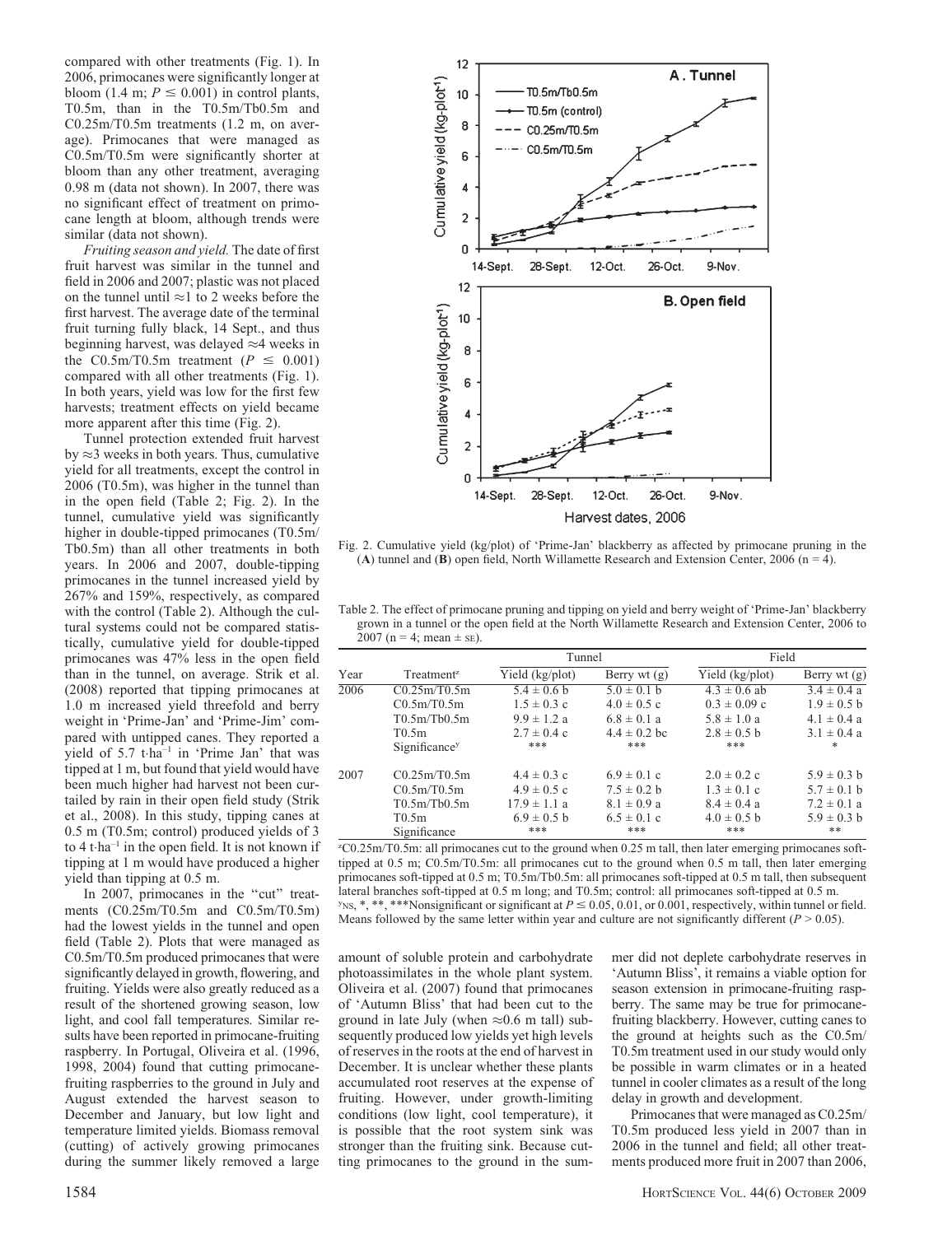compared with other treatments (Fig. 1). In 2006, primocanes were significantly longer at bloom (1.4 m;  $P \le 0.001$ ) in control plants, T0.5m, than in the T0.5m/Tb0.5m and C0.25m/T0.5m treatments (1.2 m, on average). Primocanes that were managed as C0.5m/T0.5m were significantly shorter at bloom than any other treatment, averaging 0.98 m (data not shown). In 2007, there was no significant effect of treatment on primocane length at bloom, although trends were similar (data not shown).

Fruiting season and yield. The date of first fruit harvest was similar in the tunnel and field in 2006 and 2007; plastic was not placed on the tunnel until  $\approx$ 1 to 2 weeks before the first harvest. The average date of the terminal fruit turning fully black, 14 Sept., and thus beginning harvest, was delayed  $\approx$ 4 weeks in the C0.5m/T0.5m treatment ( $P \le 0.001$ ) compared with all other treatments (Fig. 1). In both years, yield was low for the first few harvests; treatment effects on yield became more apparent after this time (Fig. 2).

Tunnel protection extended fruit harvest by  $\approx$  3 weeks in both years. Thus, cumulative yield for all treatments, except the control in 2006 (T0.5m), was higher in the tunnel than in the open field (Table 2; Fig. 2). In the tunnel, cumulative yield was significantly higher in double-tipped primocanes (T0.5m/ Tb0.5m) than all other treatments in both years. In 2006 and 2007, double-tipping primocanes in the tunnel increased yield by 267% and 159%, respectively, as compared with the control (Table 2). Although the cultural systems could not be compared statistically, cumulative yield for double-tipped primocanes was 47% less in the open field than in the tunnel, on average. Strik et al. (2008) reported that tipping primocanes at 1.0 m increased yield threefold and berry weight in 'Prime-Jan' and 'Prime-Jim' compared with untipped canes. They reported a yield of 5.7 t-ha<sup>-1</sup> in 'Prime Jan' that was tipped at 1 m, but found that yield would have been much higher had harvest not been curtailed by rain in their open field study (Strik et al., 2008). In this study, tipping canes at 0.5 m (T0.5m; control) produced yields of 3 to 4 t-ha–1 in the open field. It is not known if tipping at 1 m would have produced a higher yield than tipping at 0.5 m.

In 2007, primocanes in the "cut" treatments (C0.25m/T0.5m and C0.5m/T0.5m) had the lowest yields in the tunnel and open field (Table 2). Plots that were managed as C0.5m/T0.5m produced primocanes that were significantly delayed in growth, flowering, and fruiting. Yields were also greatly reduced as a result of the shortened growing season, low light, and cool fall temperatures. Similar results have been reported in primocane-fruiting raspberry. In Portugal, Oliveira et al. (1996, 1998, 2004) found that cutting primocanefruiting raspberries to the ground in July and August extended the harvest season to December and January, but low light and temperature limited yields. Biomass removal (cutting) of actively growing primocanes during the summer likely removed a large



Harvest dates, 2006

Fig. 2. Cumulative yield (kg/plot) of 'Prime-Jan' blackberry as affected by primocane pruning in the (A) tunnel and (B) open field, North Willamette Research and Extension Center, 2006 ( $n = 4$ ).

Table 2. The effect of primocane pruning and tipping on yield and berry weight of 'Prime-Jan' blackberry grown in a tunnel or the open field at the North Willamette Research and Extension Center, 2006 to 2007 (n = 4; mean  $\pm$  sE).

|      | Treatment <sup>z</sup>    | Tunnel           |                  | Field            |                 |
|------|---------------------------|------------------|------------------|------------------|-----------------|
| Year |                           | Yield (kg/plot)  | Berry wt $(g)$   | Yield (kg/plot)  | Berry wt $(g)$  |
| 2006 | C0.25m/T0.5m              | $5.4 \pm 0.6$ b  | $5.0 \pm 0.1$ b  | $4.3 \pm 0.6$ ab | $3.4 \pm 0.4 a$ |
|      | C0.5m/T0.5m               | $1.5 \pm 0.3$ c  | $4.0 \pm 0.5$ c  | $0.3 \pm 0.09$ c | $1.9 \pm 0.5$ b |
|      | T0.5m/Tb0.5m              | $9.9 \pm 1.2$ a  | $6.8 \pm 0.1$ a  | $5.8 \pm 1.0 a$  | $4.1 \pm 0.4$ a |
|      | T0.5m                     | $2.7 \pm 0.4$ c  | $4.4 \pm 0.2$ bc | $2.8 \pm 0.5$ b  | $3.1 \pm 0.4$ a |
|      | Significance <sup>y</sup> | ***              | ***              | ***              | *               |
| 2007 | C0.25m/T0.5m              | $4.4 \pm 0.3$ c  | $6.9 \pm 0.1$ c  | $2.0 \pm 0.2$ c  | $5.9 \pm 0.3$ b |
|      | C0.5m/T0.5m               | $4.9 \pm 0.5$ c  | $7.5 \pm 0.2$ b  | $1.3 \pm 0.1$ c  | $5.7 \pm 0.1$ b |
|      | T0.5m/Tb0.5m              | $17.9 \pm 1.1$ a | $8.1 \pm 0.9$ a  | $8.4 \pm 0.4$ a  | $7.2 \pm 0.1$ a |
|      | T0.5m                     | $6.9 \pm 0.5$ b  | $6.5 \pm 0.1$ c  | $4.0 \pm 0.5$ b  | $5.9 \pm 0.3 h$ |
|      | Significance              | ***              | ***              | ***              | **              |

z C0.25m/T0.5m: all primocanes cut to the ground when 0.25 m tall, then later emerging primocanes softtipped at 0.5 m; C0.5m/T0.5m: all primocanes cut to the ground when 0.5 m tall, then later emerging primocanes soft-tipped at 0.5 m; T0.5m/Tb0.5m: all primocanes soft-tipped at 0.5 m tall, then subsequent lateral branches soft-tipped at 0.5 m long; and T0.5m; control: all primocanes soft-tipped at 0.5 m.  $y_{NS}$ , \*, \*\*, \*\*\*Nonsignificant or significant at  $P \le 0.05$ , 0.01, or 0.001, respectively, within tunnel or field. Means followed by the same letter within year and culture are not significantly different  $(P > 0.05)$ .

amount of soluble protein and carbohydrate photoassimilates in the whole plant system. Oliveira et al. (2007) found that primocanes of 'Autumn Bliss' that had been cut to the ground in late July (when  $\approx 0.6$  m tall) subsequently produced low yields yet high levels of reserves in the roots at the end of harvest in December. It is unclear whether these plants accumulated root reserves at the expense of fruiting. However, under growth-limiting conditions (low light, cool temperature), it is possible that the root system sink was stronger than the fruiting sink. Because cutting primocanes to the ground in the summer did not deplete carbohydrate reserves in 'Autumn Bliss', it remains a viable option for season extension in primocane-fruiting raspberry. The same may be true for primocanefruiting blackberry. However, cutting canes to the ground at heights such as the C0.5m/ T0.5m treatment used in our study would only be possible in warm climates or in a heated tunnel in cooler climates as a result of the long delay in growth and development.

Primocanes that were managed as C0.25m/ T0.5m produced less yield in 2007 than in 2006 in the tunnel and field; all other treatments produced more fruit in 2007 than 2006,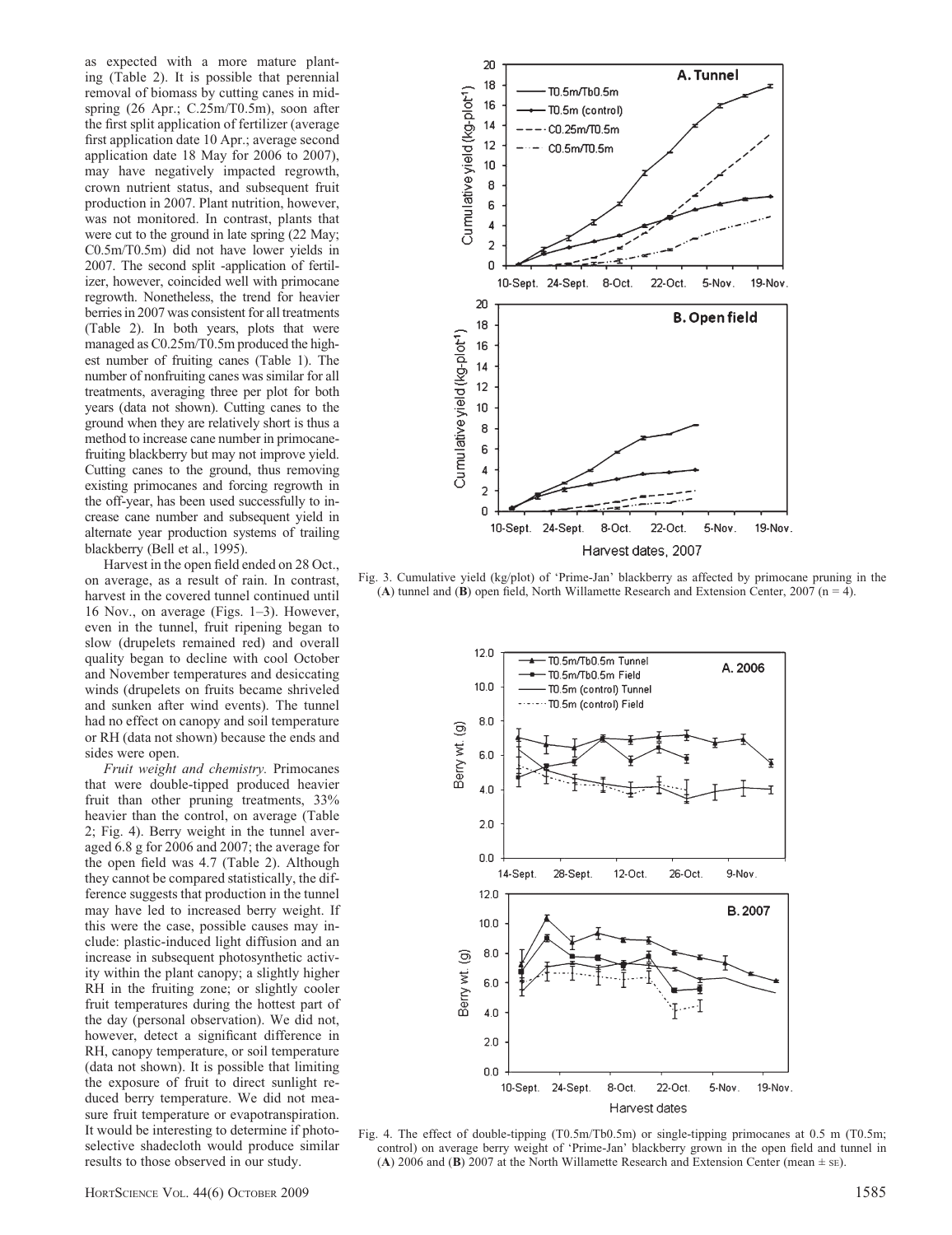as expected with a more mature planting (Table 2). It is possible that perennial removal of biomass by cutting canes in midspring (26 Apr.; C.25m/T0.5m), soon after the first split application of fertilizer (average first application date 10 Apr.; average second application date 18 May for 2006 to 2007), may have negatively impacted regrowth, crown nutrient status, and subsequent fruit production in 2007. Plant nutrition, however, was not monitored. In contrast, plants that were cut to the ground in late spring (22 May; C0.5m/T0.5m) did not have lower yields in 2007. The second split -application of fertilizer, however, coincided well with primocane regrowth. Nonetheless, the trend for heavier berries in 2007 was consistent for all treatments (Table 2). In both years, plots that were managed as C0.25m/T0.5m produced the highest number of fruiting canes (Table 1). The number of nonfruiting canes was similar for all treatments, averaging three per plot for both years (data not shown). Cutting canes to the ground when they are relatively short is thus a method to increase cane number in primocanefruiting blackberry but may not improve yield. Cutting canes to the ground, thus removing existing primocanes and forcing regrowth in the off-year, has been used successfully to increase cane number and subsequent yield in alternate year production systems of trailing blackberry (Bell et al., 1995).

Harvest in the open field ended on 28 Oct., on average, as a result of rain. In contrast, harvest in the covered tunnel continued until 16 Nov., on average (Figs. 1–3). However, even in the tunnel, fruit ripening began to slow (drupelets remained red) and overall quality began to decline with cool October and November temperatures and desiccating winds (drupelets on fruits became shriveled and sunken after wind events). The tunnel had no effect on canopy and soil temperature or RH (data not shown) because the ends and sides were open.

Fruit weight and chemistry. Primocanes that were double-tipped produced heavier fruit than other pruning treatments, 33% heavier than the control, on average (Table 2; Fig. 4). Berry weight in the tunnel averaged 6.8 g for 2006 and 2007; the average for the open field was 4.7 (Table 2). Although they cannot be compared statistically, the difference suggests that production in the tunnel may have led to increased berry weight. If this were the case, possible causes may include: plastic-induced light diffusion and an increase in subsequent photosynthetic activity within the plant canopy; a slightly higher RH in the fruiting zone; or slightly cooler fruit temperatures during the hottest part of the day (personal observation). We did not, however, detect a significant difference in RH, canopy temperature, or soil temperature (data not shown). It is possible that limiting the exposure of fruit to direct sunlight reduced berry temperature. We did not measure fruit temperature or evapotranspiration. It would be interesting to determine if photoselective shadecloth would produce similar results to those observed in our study.



Fig. 3. Cumulative yield (kg/plot) of 'Prime-Jan' blackberry as affected by primocane pruning in the (A) tunnel and (B) open field, North Willamette Research and Extension Center, 2007 (n = 4).



Fig. 4. The effect of double-tipping (T0.5m/Tb0.5m) or single-tipping primocanes at 0.5 m (T0.5m; control) on average berry weight of 'Prime-Jan' blackberry grown in the open field and tunnel in (A) 2006 and (B) 2007 at the North Willamette Research and Extension Center (mean  $\pm$  sE).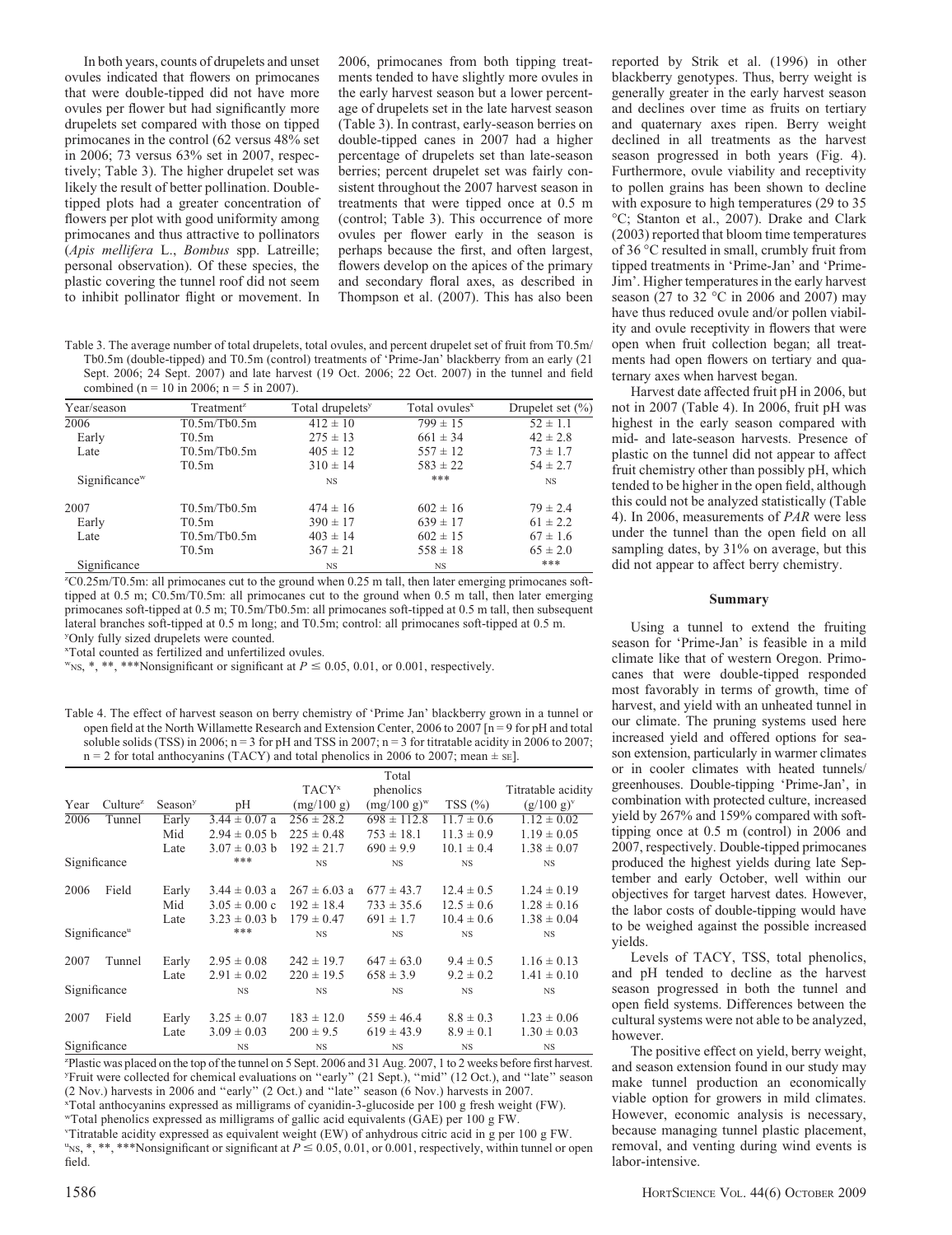In both years, counts of drupelets and unset ovules indicated that flowers on primocanes that were double-tipped did not have more ovules per flower but had significantly more drupelets set compared with those on tipped primocanes in the control (62 versus 48% set in 2006; 73 versus 63% set in 2007, respectively; Table 3). The higher drupelet set was likely the result of better pollination. Doubletipped plots had a greater concentration of flowers per plot with good uniformity among primocanes and thus attractive to pollinators (Apis mellifera L., Bombus spp. Latreille; personal observation). Of these species, the plastic covering the tunnel roof did not seem to inhibit pollinator flight or movement. In

2006, primocanes from both tipping treatments tended to have slightly more ovules in the early harvest season but a lower percentage of drupelets set in the late harvest season (Table 3). In contrast, early-season berries on double-tipped canes in 2007 had a higher percentage of drupelets set than late-season berries; percent drupelet set was fairly consistent throughout the 2007 harvest season in treatments that were tipped once at 0.5 m (control; Table 3). This occurrence of more ovules per flower early in the season is perhaps because the first, and often largest, flowers develop on the apices of the primary and secondary floral axes, as described in Thompson et al. (2007). This has also been

Table 3. The average number of total drupelets, total ovules, and percent drupelet set of fruit from T0.5m/ Tb0.5m (double-tipped) and T0.5m (control) treatments of 'Prime-Jan' blackberry from an early (21 Sept. 2006; 24 Sept. 2007) and late harvest (19 Oct. 2006; 22 Oct. 2007) in the tunnel and field combined (n = 10 in 2006; n = 5 in 2007).

| Year/season               | Treatment <sup>z</sup> | Total drupelets <sup>y</sup> | Total ovules <sup>x</sup> | Drupelet set $(\% )$ |
|---------------------------|------------------------|------------------------------|---------------------------|----------------------|
| 2006                      | T0.5m/Tb0.5m           | $412 \pm 10$                 | $799 \pm 15$              | $52 \pm 1.1$         |
| Early                     | T0.5m                  | $275 \pm 13$                 | $661 \pm 34$              | $42 \pm 2.8$         |
| Late                      | T0.5m/Tb0.5m           | $405 \pm 12$                 | $557 \pm 12$              | $73 \pm 1.7$         |
|                           | T0.5m                  | $310 \pm 14$                 | $583 \pm 22$              | $54 \pm 2.7$         |
| Significance <sup>w</sup> |                        | <b>NS</b>                    | ***                       | <b>NS</b>            |
| 2007                      | T0.5m/Tb0.5m           | $474 \pm 16$                 | $602 \pm 16$              | $79 \pm 2.4$         |
| Early                     | T0.5m                  | $390 \pm 17$                 | $639 \pm 17$              | $61 \pm 2.2$         |
| Late                      | T0.5m/Tb0.5m           | $403 \pm 14$                 | $602 \pm 15$              | $67 \pm 1.6$         |
|                           | T0.5m                  | $367 \pm 21$                 | $558 \pm 18$              | $65 \pm 2.0$         |
| Significance              |                        | <b>NS</b>                    | <b>NS</b>                 | ***                  |

z C0.25m/T0.5m: all primocanes cut to the ground when 0.25 m tall, then later emerging primocanes softtipped at 0.5 m; C0.5m/T0.5m: all primocanes cut to the ground when 0.5 m tall, then later emerging primocanes soft-tipped at 0.5 m; T0.5m/Tb0.5m: all primocanes soft-tipped at 0.5 m tall, then subsequent lateral branches soft-tipped at 0.5 m long; and T0.5m; control: all primocanes soft-tipped at 0.5 m. y Only fully sized drupelets were counted.

x Total counted as fertilized and unfertilized ovules.

 $W_{NS}$ , \*, \*\*, \*\*\*Nonsignificant or significant at  $P \le 0.05$ , 0.01, or 0.001, respectively.

Table 4. The effect of harvest season on berry chemistry of 'Prime Jan' blackberry grown in a tunnel or open field at the North Willamette Research and Extension Center, 2006 to 2007 [n = 9 for pH and total soluble solids (TSS) in 2006;  $n = 3$  for pH and TSS in 2007;  $n = 3$  for titratable acidity in 2006 to 2007;  $n = 2$  for total anthocyanins (TACY) and total phenolics in 2006 to 2007; mean  $\pm$  sE].

|      |                           |                     |                   |                   | Total            |                |                    |
|------|---------------------------|---------------------|-------------------|-------------------|------------------|----------------|--------------------|
|      |                           |                     |                   | TACY <sup>x</sup> | phenolics        |                | Titratable acidity |
| Year | Culture <sup>z</sup>      | Season <sup>y</sup> | pН                | (mg/100 g)        | $(mg/100 g)^{w}$ | TSS(%)         | $(g/100 g)^{v}$    |
| 2006 | Tunnel                    | Early               | $3.44 \pm 0.07$ a | $256 \pm 28.2$    | $698 \pm 112.8$  | $11.7 \pm 0.6$ | $1.12 \pm 0.02$    |
|      |                           | Mid                 | $2.94 \pm 0.05$ b | $225 \pm 0.48$    | $753 \pm 18.1$   | $11.3 \pm 0.9$ | $1.19 \pm 0.05$    |
|      |                           | Late                | $3.07 \pm 0.03$ b | $192 \pm 21.7$    | $690 \pm 9.9$    | $10.1 \pm 0.4$ | $1.38 \pm 0.07$    |
|      | Significance              |                     | ***               | <b>NS</b>         | <b>NS</b>        | <b>NS</b>      | <b>NS</b>          |
| 2006 | Field                     | Early               | $3.44 \pm 0.03$ a | $267 \pm 6.03$ a  | $677 \pm 43.7$   | $12.4 \pm 0.5$ | $1.24 \pm 0.19$    |
|      |                           | Mid                 | $3.05 \pm 0.00$ c | $192 \pm 18.4$    | $733 \pm 35.6$   | $12.5 \pm 0.6$ | $1.28 \pm 0.16$    |
|      |                           | Late                | $3.23 \pm 0.03$ b | $179 \pm 0.47$    | $691 \pm 1.7$    | $10.4 \pm 0.6$ | $1.38 \pm 0.04$    |
|      | Significance <sup>u</sup> |                     | ***               | <b>NS</b>         | <b>NS</b>        | <b>NS</b>      | <b>NS</b>          |
| 2007 | Tunnel                    | Early               | $2.95 \pm 0.08$   | $242 \pm 19.7$    | $647 \pm 63.0$   | $9.4 \pm 0.5$  | $1.16 \pm 0.13$    |
|      |                           | Late                | $2.91 \pm 0.02$   | $220 \pm 19.5$    | $658 \pm 3.9$    | $9.2 \pm 0.2$  | $1.41 \pm 0.10$    |
|      | Significance              |                     | <b>NS</b>         | <b>NS</b>         | <b>NS</b>        | <b>NS</b>      | <b>NS</b>          |
| 2007 | Field                     | Early               | $3.25 \pm 0.07$   | $183 \pm 12.0$    | $559 \pm 46.4$   | $8.8 \pm 0.3$  | $1.23 \pm 0.06$    |
|      |                           | Late                | $3.09 \pm 0.03$   | $200 \pm 9.5$     | $619 \pm 43.9$   | $8.9 \pm 0.1$  | $1.30 \pm 0.03$    |
|      | Significance              |                     | <b>NS</b>         | <b>NS</b>         | <b>NS</b>        | <b>NS</b>      | <b>NS</b>          |

z Plastic was placed on the top of the tunnel on 5 Sept. 2006 and 31 Aug. 2007, 1 to 2 weeks before first harvest. y Fruit were collected for chemical evaluations on ''early'' (21 Sept.), ''mid'' (12 Oct.), and ''late'' season (2 Nov.) harvests in 2006 and ''early'' (2 Oct.) and ''late'' season (6 Nov.) harvests in 2007. x Total anthocyanins expressed as milligrams of cyanidin-3-glucoside per 100 g fresh weight (FW). wTotal phenolics expressed as milligrams of gallic acid equivalents (GAE) per 100 g FW. v Titratable acidity expressed as equivalent weight (EW) of anhydrous citric acid in g per 100 g FW.  $v_{\text{NS}, *}, *$ , \*\*\*Nonsignificant or significant at  $P \le 0.05, 0.01$ , or 0.001, respectively, within tunnel or open field.

reported by Strik et al. (1996) in other blackberry genotypes. Thus, berry weight is generally greater in the early harvest season and declines over time as fruits on tertiary and quaternary axes ripen. Berry weight declined in all treatments as the harvest season progressed in both years (Fig. 4). Furthermore, ovule viability and receptivity to pollen grains has been shown to decline with exposure to high temperatures (29 to 35 -C; Stanton et al., 2007). Drake and Clark (2003) reported that bloom time temperatures of 36 °C resulted in small, crumbly fruit from tipped treatments in 'Prime-Jan' and 'Prime-Jim'. Higher temperatures in the early harvest season (27 to 32  $^{\circ}$ C in 2006 and 2007) may have thus reduced ovule and/or pollen viability and ovule receptivity in flowers that were open when fruit collection began; all treatments had open flowers on tertiary and quaternary axes when harvest began.

Harvest date affected fruit pH in 2006, but not in 2007 (Table 4). In 2006, fruit pH was highest in the early season compared with mid- and late-season harvests. Presence of plastic on the tunnel did not appear to affect fruit chemistry other than possibly pH, which tended to be higher in the open field, although this could not be analyzed statistically (Table 4). In 2006, measurements of PAR were less under the tunnel than the open field on all sampling dates, by 31% on average, but this did not appear to affect berry chemistry.

#### Summary

Using a tunnel to extend the fruiting season for 'Prime-Jan' is feasible in a mild climate like that of western Oregon. Primocanes that were double-tipped responded most favorably in terms of growth, time of harvest, and yield with an unheated tunnel in our climate. The pruning systems used here increased yield and offered options for season extension, particularly in warmer climates or in cooler climates with heated tunnels/ greenhouses. Double-tipping 'Prime-Jan', in combination with protected culture, increased yield by 267% and 159% compared with softtipping once at 0.5 m (control) in 2006 and 2007, respectively. Double-tipped primocanes produced the highest yields during late September and early October, well within our objectives for target harvest dates. However, the labor costs of double-tipping would have to be weighed against the possible increased yields.

Levels of TACY, TSS, total phenolics, and pH tended to decline as the harvest season progressed in both the tunnel and open field systems. Differences between the cultural systems were not able to be analyzed, however.

The positive effect on yield, berry weight, and season extension found in our study may make tunnel production an economically viable option for growers in mild climates. However, economic analysis is necessary, because managing tunnel plastic placement, removal, and venting during wind events is labor-intensive.